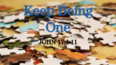# Keep Being

One

JOHN 17:1-1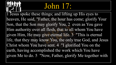#### John 17:

1 Jesus spoke these things; and lifting up His eyes to heaven, He said, "Father, the hour has come; glorify Your Son, that the Son may glorify You, 2 even as You gave Him authority over all flesh, that to all whom You have given Him, He may give eternal life. 3 "This is eternal life, that they may know You, the only true God, and Jesus Christ whom You have sent. 4 "I glorified You on the earth, having accomplished the work which You have given Me to do. 5 "Now, Father, glorify Me together with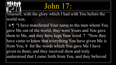#### John 17:

Yourself, with the glory which I had with You before the world was.

 6 ¶ "I have manifested Your name to the men whom You gave Me out of the world; they were Yours and You gave them to Me, and they have kept Your word. 7 "Now they have come to know that everything You have given Me is from You; 8 for the words which You gave Me I have given to them; and they received *them* and truly understood that I came forth from You, and they believed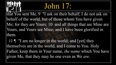#### John 17:

that You sent Me. 9 "I ask on their behalf; I do not ask on behalf of the world, but of those whom You have given Me; for they are Yours; 10 and all things that are Mine are Yours, and Yours are Mine; and I have been glorified in them.

11 ¶ "I am no longer in the world; and [yet] they themselves are in the world, and I come to You. Holy Father, keep them in Your name, *the name* which You have given Me, that they may be one even as We *are*.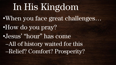#### In His Kingdom •When you face great challenges… •How do you pray? •Jesus' "hour" has come –All of history waited for this –Relief? Comfort? Prosperity?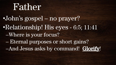#### Father

•John's gospel – no prayer? •Relationship! His eyes - 6:5; 11:41 –Where is your focus? – Eternal purposes or short gains? –And Jesus asks by command! Glorify!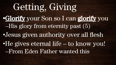#### Getting, Giving **•**Glorify your Son so I can glorify you –His glory from eternity past (5) •Jesus given authority over all flesh •He gives eternal life – to know you! –From Eden Father wanted this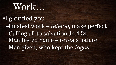#### Work…

•I glorified you –finished work – teleioo, make perfect –Calling all to salvation Jn 4:34 Manifested name – reveals nature –Men given, who kept the logos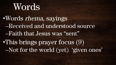### Words

•Words rhema, sayings –Received and understood source –Faith that Jesus was "sent" •This brings prayer focus (9) –Not for the world (yet) 'given ones'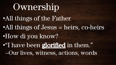#### Ownership •All things of the Father •All things of Jesus = heirs, co-heirs •How di you know? •"I have been glorified in them." –Our lives, witness, actions, words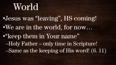## World

•Jesus was "leaving", HS coming! •We are in the world, for now… •"keep them in Your name" –Holy Father – only time in Scripture! –Same as the keeping of His word! (6. 11)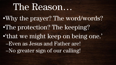#### The Reason...

•Why the prayer? The word/words? •The protection? The keeping? •'that we might keep on being one.' –Even as Jesus and Father are! –No greater sign of our calling!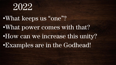

•What keeps us "one"? •What power comes with that? •How can we increase this unity? •Examples are in the Godhead!